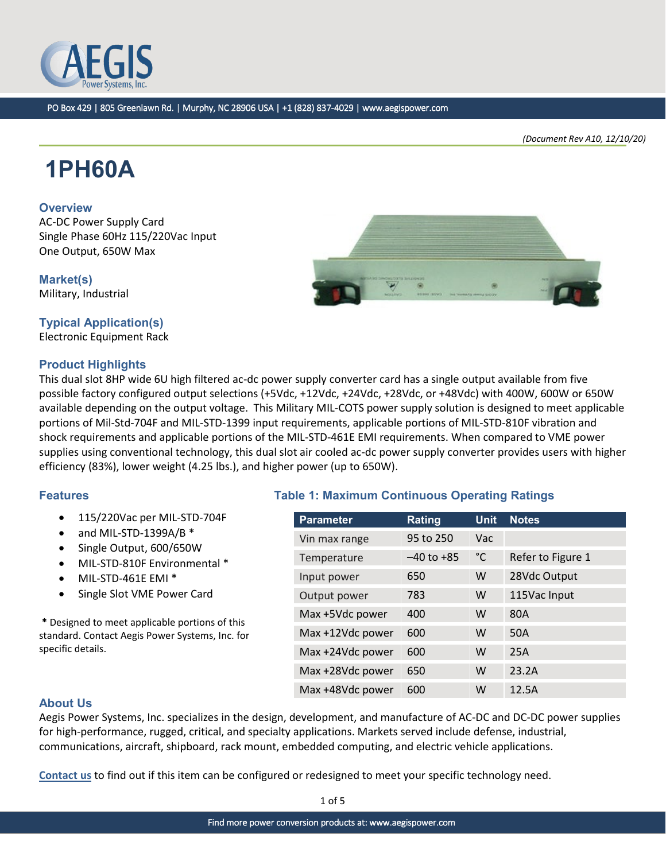

# **1PH60A**

#### **Overview**

AC-DC Power Supply Card Single Phase 60Hz 115/220Vac Input One Output, 650W Max

**Market(s)** Military, Industrial

### **Typical Application(s)**

Electronic Equipment Rack

#### **Product Highlights**

This dual slot 8HP wide 6U high filtered ac-dc power supply converter card has a single output available from five possible factory configured output selections (+5Vdc, +12Vdc, +24Vdc, +28Vdc, or +48Vdc) with 400W, 600W or 650W available depending on the output voltage. This Military MIL-COTS power supply solution is designed to meet applicable portions of Mil-Std-704F and MIL-STD-1399 input requirements, applicable portions of MIL-STD-810F vibration and shock requirements and applicable portions of the MIL-STD-461E EMI requirements. When compared to VME power supplies using conventional technology, this dual slot air cooled ac-dc power supply converter provides users with higher efficiency (83%), lower weight (4.25 lbs.), and higher power (up to 650W).

- 115/220Vac per MIL-STD-704F
- and MIL-STD-1399A/B \*
- Single Output, 600/650W
- MIL-STD-810F Environmental \*
- MIL-STD-461E EMI \*
- Single Slot VME Power Card

**\*** Designed to meet applicable portions of this standard. Contact Aegis Power Systems, Inc. for specific details.

# **Features Table 1: Maximum Continuous Operating Ratings**

| <b>Parameter</b> | Rating         | Unit         | <b>Notes</b>      |
|------------------|----------------|--------------|-------------------|
| Vin max range    | 95 to 250      | Vac          |                   |
| Temperature      | $-40$ to $+85$ | $^{\circ}$ C | Refer to Figure 1 |
| Input power      | 650            | W            | 28Vdc Output      |
| Output power     | 783            | W            | 115Vac Input      |
| Max +5Vdc power  | 400            | W            | 80A               |
| Max +12Vdc power | 600            | W            | 50A               |
| Max +24Vdc power | 600            | W            | 25A               |
| Max +28Vdc power | 650            | W            | 23.2A             |
| Max +48Vdc power | 600            | W            | 12.5A             |

#### **About Us**

Aegis Power Systems, Inc. specializes in the design, development, and manufacture of AC-DC and DC-DC power supplies for high-performance, rugged, critical, and specialty applications. Markets served include defense, industrial, communications, aircraft, shipboard, rack mount, embedded computing, and electric vehicle applications.

**[Contact us](http://aegispower.com/index.php/contact-us)** to find out if this item can be configured or redesigned to meet your specific technology need.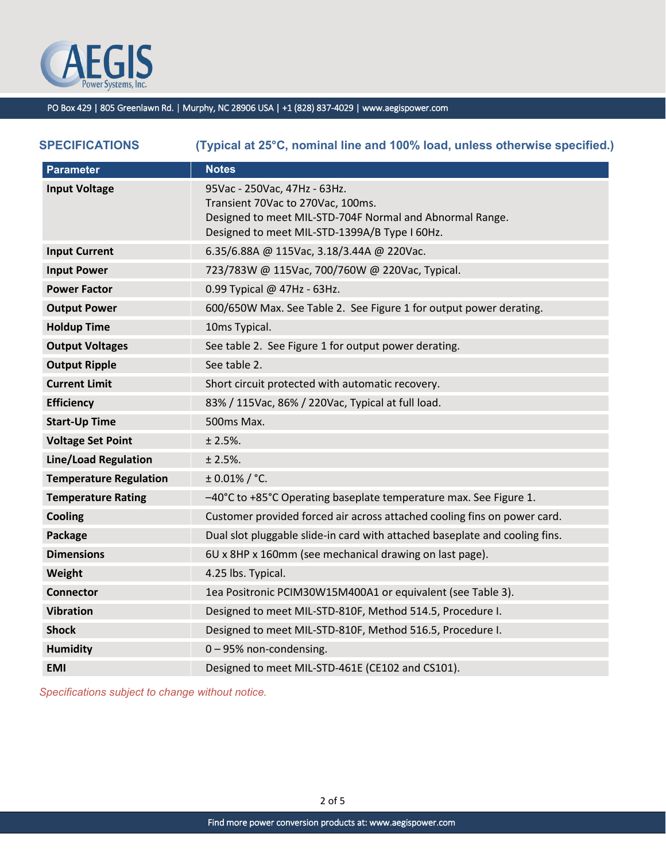

| <b>SPECIFICATIONS</b>         | (Typical at 25°C, nominal line and 100% load, unless otherwise specified.)                                                                                                     |
|-------------------------------|--------------------------------------------------------------------------------------------------------------------------------------------------------------------------------|
| <b>Parameter</b>              | <b>Notes</b>                                                                                                                                                                   |
| <b>Input Voltage</b>          | 95Vac - 250Vac, 47Hz - 63Hz.<br>Transient 70Vac to 270Vac, 100ms.<br>Designed to meet MIL-STD-704F Normal and Abnormal Range.<br>Designed to meet MIL-STD-1399A/B Type I 60Hz. |
| <b>Input Current</b>          | 6.35/6.88A @ 115Vac, 3.18/3.44A @ 220Vac.                                                                                                                                      |
| <b>Input Power</b>            | 723/783W @ 115Vac, 700/760W @ 220Vac, Typical.                                                                                                                                 |
| <b>Power Factor</b>           | 0.99 Typical @ 47Hz - 63Hz.                                                                                                                                                    |
| <b>Output Power</b>           | 600/650W Max. See Table 2. See Figure 1 for output power derating.                                                                                                             |
| <b>Holdup Time</b>            | 10ms Typical.                                                                                                                                                                  |
| <b>Output Voltages</b>        | See table 2. See Figure 1 for output power derating.                                                                                                                           |
| <b>Output Ripple</b>          | See table 2.                                                                                                                                                                   |
| <b>Current Limit</b>          | Short circuit protected with automatic recovery.                                                                                                                               |
| <b>Efficiency</b>             | 83% / 115Vac, 86% / 220Vac, Typical at full load.                                                                                                                              |
| <b>Start-Up Time</b>          | 500ms Max.                                                                                                                                                                     |
| <b>Voltage Set Point</b>      | $± 2.5%$ .                                                                                                                                                                     |
| Line/Load Regulation          | $± 2.5%$ .                                                                                                                                                                     |
| <b>Temperature Regulation</b> | $± 0.01\%$ / °C.                                                                                                                                                               |
| <b>Temperature Rating</b>     | -40°C to +85°C Operating baseplate temperature max. See Figure 1.                                                                                                              |
| Cooling                       | Customer provided forced air across attached cooling fins on power card.                                                                                                       |
| Package                       | Dual slot pluggable slide-in card with attached baseplate and cooling fins.                                                                                                    |
| <b>Dimensions</b>             | 6U x 8HP x 160mm (see mechanical drawing on last page).                                                                                                                        |
| Weight                        | 4.25 lbs. Typical.                                                                                                                                                             |
| <b>Connector</b>              | 1ea Positronic PCIM30W15M400A1 or equivalent (see Table 3).                                                                                                                    |
| <b>Vibration</b>              | Designed to meet MIL-STD-810F, Method 514.5, Procedure I.                                                                                                                      |
| <b>Shock</b>                  | Designed to meet MIL-STD-810F, Method 516.5, Procedure I.                                                                                                                      |
| <b>Humidity</b>               | 0-95% non-condensing.                                                                                                                                                          |
| <b>EMI</b>                    | Designed to meet MIL-STD-461E (CE102 and CS101).                                                                                                                               |

*Specifications subject to change without notice.*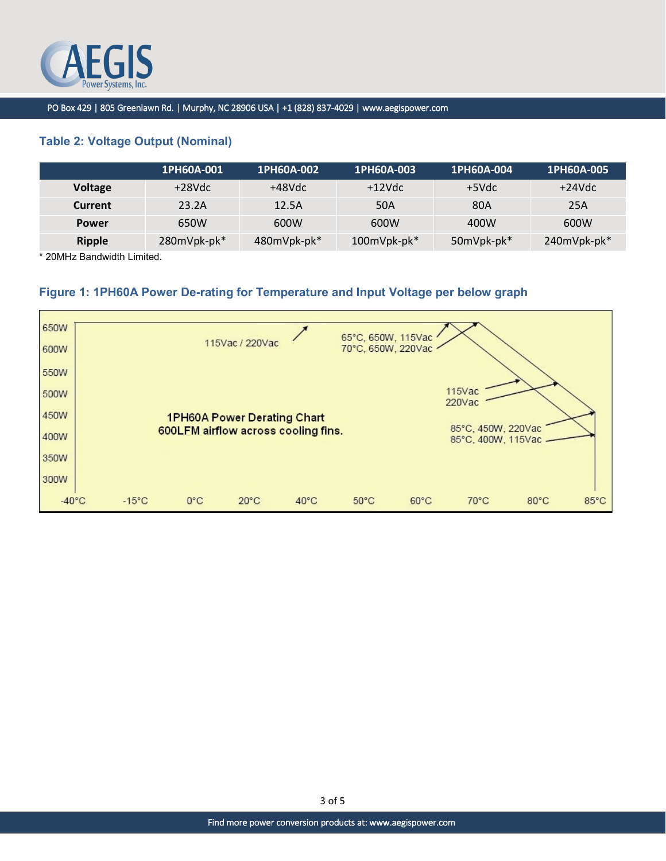

# **Table 2: Voltage Output (Nominal)**

|                | 1PH60A-001  | 1PH60A-002  | 1PH60A-003  | 1PH60A-004 | 1PH60A-005  |
|----------------|-------------|-------------|-------------|------------|-------------|
| <b>Voltage</b> | $+28Vdc$    | +48Vdc      | $+12$ Vdc   | $+5Vdc$    | $+24Vdc$    |
| Current        | 23.2A       | 12.5A       | 50A         | 80A        | 25A         |
| <b>Power</b>   | 650W        | 600W        | 600W        | 400W       | 600W        |
| <b>Ripple</b>  | 280mVpk-pk* | 480mVpk-pk* | 100mVpk-pk* | 50mVpk-pk* | 240mVpk-pk* |

\* 20MHz Bandwidth Limited.

# **Figure 1: 1PH60A Power De-rating for Temperature and Input Voltage per below graph**

| 650W<br>600W    |                                     |                             | 115Vac / 220Vac |                | 65°C, 650W, 115Vac<br>70°C, 650W, 220Vac |                |                     |                |      |
|-----------------|-------------------------------------|-----------------------------|-----------------|----------------|------------------------------------------|----------------|---------------------|----------------|------|
| 550W            |                                     |                             |                 |                |                                          |                |                     |                |      |
| 500W            |                                     |                             |                 |                |                                          |                | $115$ Vac<br>220Vac |                |      |
| 450W            |                                     | 1PH60A Power Derating Chart |                 |                |                                          |                |                     |                |      |
| 400W            | 600LFM airflow across cooling fins. |                             |                 |                | 85°C, 450W, 220Vac<br>85°C, 400W, 115Vac |                |                     |                |      |
| 350W            |                                     |                             |                 |                |                                          |                |                     |                |      |
| 300W            |                                     |                             |                 |                |                                          |                |                     |                |      |
| $-40^{\circ}$ C | $-15^{\circ}$ C                     | $0^{\circ}$ C               | $20^{\circ}$ C  | $40^{\circ}$ C | $50^{\circ}$ C                           | $60^{\circ}$ C | $70^{\circ}$ C      | $80^{\circ}$ C | 85°C |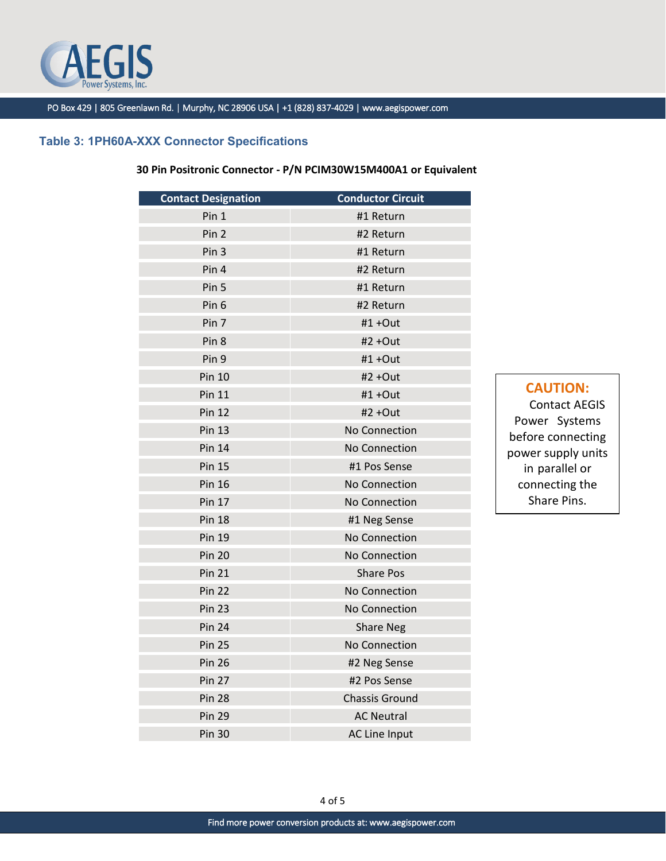

# **Table 3: 1PH60A-XXX Connector Specifications**

| <b>Contact Designation</b> | <b>Conductor Circuit</b> |
|----------------------------|--------------------------|
| Pin 1                      | #1 Return                |
| Pin 2                      | #2 Return                |
| Pin <sub>3</sub>           | #1 Return                |
| Pin 4                      | #2 Return                |
| Pin <sub>5</sub>           | #1 Return                |
| Pin <sub>6</sub>           | #2 Return                |
| Pin 7                      | #1 +Out                  |
| Pin <sub>8</sub>           | #2 +Out                  |
| Pin 9                      | #1 +Out                  |
| <b>Pin 10</b>              | #2 +Out                  |
| <b>Pin 11</b>              | $#1 + Out$               |
| <b>Pin 12</b>              | #2 +Out                  |
| <b>Pin 13</b>              | No Connection            |
| <b>Pin 14</b>              | No Connection            |
| <b>Pin 15</b>              | #1 Pos Sense             |
| <b>Pin 16</b>              | No Connection            |
| <b>Pin 17</b>              | No Connection            |
| <b>Pin 18</b>              | #1 Neg Sense             |
| <b>Pin 19</b>              | No Connection            |
| <b>Pin 20</b>              | No Connection            |
| <b>Pin 21</b>              | <b>Share Pos</b>         |
| <b>Pin 22</b>              | No Connection            |
| <b>Pin 23</b>              | No Connection            |
| <b>Pin 24</b>              | <b>Share Neg</b>         |
| <b>Pin 25</b>              | No Connection            |
| <b>Pin 26</b>              | #2 Neg Sense             |
| <b>Pin 27</b>              | #2 Pos Sense             |
| <b>Pin 28</b>              | <b>Chassis Ground</b>    |
| <b>Pin 29</b>              | <b>AC Neutral</b>        |
| <b>Pin 30</b>              | <b>AC Line Input</b>     |

 **30 Pin Positronic Connector - P/N PCIM30W15M400A1 or Equivalent**

**CAUTION:** Contact AEGIS Power Systems before connecting power supply units in parallel or connecting the Share Pins.